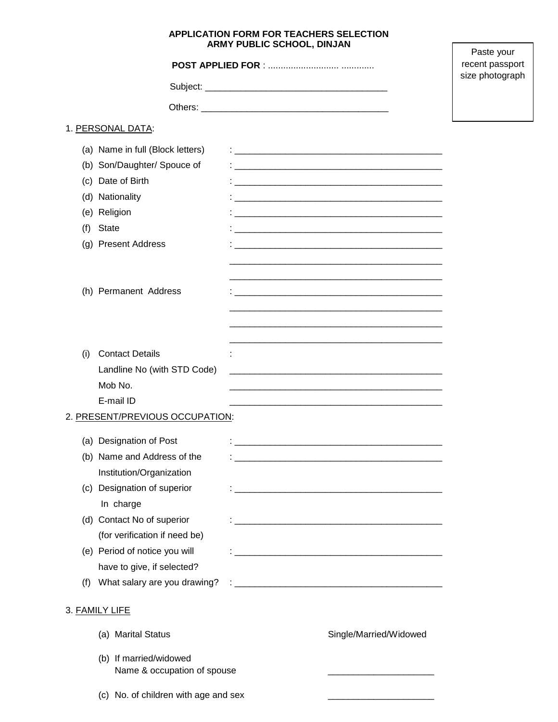## **APPLICATION FORM FOR TEACHERS SELECTION ARMY PUBLIC SCHOOL, DINJAN**

 $\Gamma$ 

| ARMY PUBLIC SCHOOL, DINJAN |                                          |                                                                                                                      | Paste your |
|----------------------------|------------------------------------------|----------------------------------------------------------------------------------------------------------------------|------------|
|                            | recent passport                          |                                                                                                                      |            |
|                            | size photograph                          |                                                                                                                      |            |
|                            |                                          |                                                                                                                      |            |
|                            | 1. PERSONAL DATA:                        |                                                                                                                      |            |
|                            | (a) Name in full (Block letters)         |                                                                                                                      |            |
|                            | (b) Son/Daughter/ Spouce of              |                                                                                                                      |            |
|                            | (c) Date of Birth                        |                                                                                                                      |            |
|                            | (d) Nationality                          |                                                                                                                      |            |
|                            | (e) Religion                             |                                                                                                                      |            |
| (f)                        | State                                    | <u> 1980 - Johann John Stone, markin film yn y brenin y brenin y brenin y brenin y brenin y brenin y brenin y br</u> |            |
|                            | (g) Present Address                      |                                                                                                                      |            |
|                            |                                          |                                                                                                                      |            |
|                            |                                          |                                                                                                                      |            |
|                            | (h) Permanent Address                    |                                                                                                                      |            |
|                            |                                          |                                                                                                                      |            |
|                            |                                          |                                                                                                                      |            |
| (i)                        | <b>Contact Details</b>                   |                                                                                                                      |            |
|                            | Landline No (with STD Code)              |                                                                                                                      |            |
|                            | Mob No.                                  |                                                                                                                      |            |
|                            | E-mail ID                                |                                                                                                                      |            |
|                            | 2. PRESENT/PREVIOUS OCCUPATION:          |                                                                                                                      |            |
|                            |                                          |                                                                                                                      |            |
|                            | (a) Designation of Post                  |                                                                                                                      |            |
|                            | (b) Name and Address of the              | <u> 1980 - Johann Barbara, martxa alemaniar argumento de la contrada de la contrada de la contrada de la contrad</u> |            |
|                            | Institution/Organization                 |                                                                                                                      |            |
|                            | (c) Designation of superior<br>In charge |                                                                                                                      |            |
|                            | (d) Contact No of superior               |                                                                                                                      |            |
|                            | (for verification if need be)            |                                                                                                                      |            |
|                            | (e) Period of notice you will            |                                                                                                                      |            |
|                            | have to give, if selected?               |                                                                                                                      |            |
| (f)                        | What salary are you drawing?             |                                                                                                                      |            |
|                            |                                          |                                                                                                                      |            |
|                            | 3. FAMILY LIFE                           |                                                                                                                      |            |
|                            | (a) Marital Status                       | Single/Married/Widowed                                                                                               |            |
|                            | (b) If married/widowed                   |                                                                                                                      |            |
|                            | Name & occupation of spouse              |                                                                                                                      |            |
|                            | (c) No. of children with age and sex     |                                                                                                                      |            |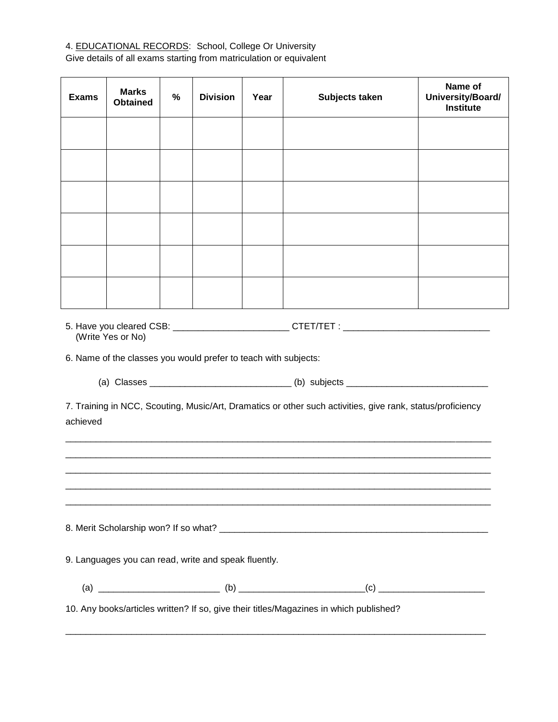# 4. EDUCATIONAL RECORDS: School, College Or University

Give details of all exams starting from matriculation or equivalent

| <b>Exams</b>                                                                                                           | <b>Marks</b><br><b>Obtained</b> | % | <b>Division</b> | Year | Subjects taken | Name of<br>University/Board/<br><b>Institute</b> |
|------------------------------------------------------------------------------------------------------------------------|---------------------------------|---|-----------------|------|----------------|--------------------------------------------------|
|                                                                                                                        |                                 |   |                 |      |                |                                                  |
|                                                                                                                        |                                 |   |                 |      |                |                                                  |
|                                                                                                                        |                                 |   |                 |      |                |                                                  |
|                                                                                                                        |                                 |   |                 |      |                |                                                  |
|                                                                                                                        |                                 |   |                 |      |                |                                                  |
|                                                                                                                        |                                 |   |                 |      |                |                                                  |
| (Write Yes or No)<br>6. Name of the classes you would prefer to teach with subjects:                                   |                                 |   |                 |      |                |                                                  |
|                                                                                                                        |                                 |   |                 |      |                |                                                  |
| 7. Training in NCC, Scouting, Music/Art, Dramatics or other such activities, give rank, status/proficiency<br>achieved |                                 |   |                 |      |                |                                                  |
|                                                                                                                        |                                 |   |                 |      |                |                                                  |
| <u> 1989 - Johann Barbara, martin da kasar masa a</u>                                                                  |                                 |   |                 |      |                |                                                  |
|                                                                                                                        |                                 |   |                 |      |                |                                                  |
| 9. Languages you can read, write and speak fluently.                                                                   |                                 |   |                 |      |                |                                                  |
|                                                                                                                        |                                 |   |                 |      |                |                                                  |
| 10. Any books/articles written? If so, give their titles/Magazines in which published?                                 |                                 |   |                 |      |                |                                                  |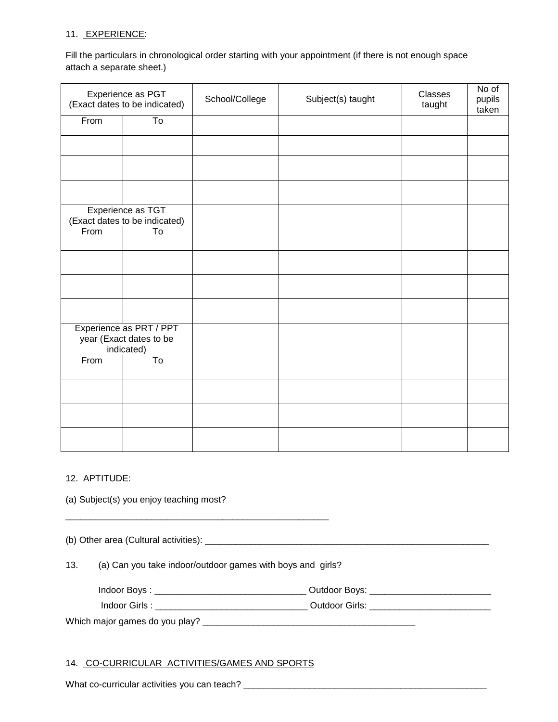## 11. EXPERIENCE:

Fill the particulars in chronological order starting with your appointment (if there is not enough space attach a separate sheet.)

| Experience as PGT<br>(Exact dates to be indicated) |                                                                  | School/College | Subject(s) taught | Classes<br>taught | No of<br>pupils<br>taken |
|----------------------------------------------------|------------------------------------------------------------------|----------------|-------------------|-------------------|--------------------------|
| From                                               | To                                                               |                |                   |                   |                          |
|                                                    |                                                                  |                |                   |                   |                          |
|                                                    |                                                                  |                |                   |                   |                          |
|                                                    |                                                                  |                |                   |                   |                          |
|                                                    | Experience as TGT<br>(Exact dates to be indicated)               |                |                   |                   |                          |
| From                                               | To                                                               |                |                   |                   |                          |
|                                                    |                                                                  |                |                   |                   |                          |
|                                                    |                                                                  |                |                   |                   |                          |
|                                                    |                                                                  |                |                   |                   |                          |
|                                                    | Experience as PRT / PPT<br>year (Exact dates to be<br>indicated) |                |                   |                   |                          |
| From                                               | $\overline{\text{To}}$                                           |                |                   |                   |                          |
|                                                    |                                                                  |                |                   |                   |                          |
|                                                    |                                                                  |                |                   |                   |                          |
|                                                    |                                                                  |                |                   |                   |                          |

### 12. APTITUDE:

(a) Subject(s) you enjoy teaching most?

(b) Other area (Cultural activities): \_\_\_\_\_\_\_\_\_\_\_\_\_\_\_\_\_\_\_\_\_\_\_\_\_\_\_\_\_\_\_\_\_\_\_\_\_\_\_\_\_\_\_\_\_\_\_\_\_\_\_\_\_\_\_\_

13. (a) Can you take indoor/outdoor games with boys and girls?

\_\_\_\_\_\_\_\_\_\_\_\_\_\_\_\_\_\_\_\_\_\_\_\_\_\_\_\_\_\_\_\_\_\_\_\_\_\_\_\_\_\_\_\_\_\_\_\_\_\_\_\_

| Indoor Boys.<br>Outdoor Bovs: |
|-------------------------------|
|-------------------------------|

Indoor Girls : \_\_\_\_\_\_\_\_\_\_\_\_\_\_\_\_\_\_\_\_\_\_\_\_\_\_\_\_\_\_ Outdoor Girls: \_\_\_\_\_\_\_\_\_\_\_\_\_\_\_\_\_\_\_\_\_\_\_\_

Which major games do you play? \_\_\_\_\_\_\_\_\_\_\_\_\_\_\_\_\_\_\_\_\_\_\_\_\_\_\_\_\_\_\_\_\_\_\_\_\_\_\_\_\_\_

## 14. CO-CURRICULAR ACTIVITIES/GAMES AND SPORTS